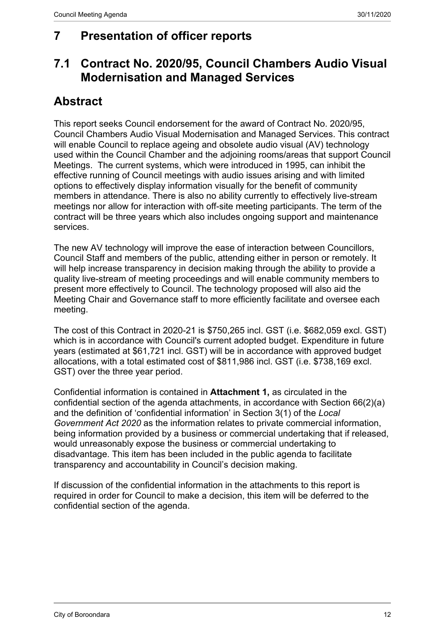# **7 Presentation of officer reports**

# **7.1 Contract No. 2020/95, Council Chambers Audio Visual Modernisation and Managed Services**

# **Abstract**

This report seeks Council endorsement for the award of Contract No. 2020/95, Council Chambers Audio Visual Modernisation and Managed Services. This contract will enable Council to replace ageing and obsolete audio visual (AV) technology used within the Council Chamber and the adjoining rooms/areas that support Council Meetings. The current systems, which were introduced in 1995, can inhibit the effective running of Council meetings with audio issues arising and with limited options to effectively display information visually for the benefit of community members in attendance. There is also no ability currently to effectively live-stream meetings nor allow for interaction with off-site meeting participants. The term of the contract will be three years which also includes ongoing support and maintenance services.

The new AV technology will improve the ease of interaction between Councillors, Council Staff and members of the public, attending either in person or remotely. It will help increase transparency in decision making through the ability to provide a quality live-stream of meeting proceedings and will enable community members to present more effectively to Council. The technology proposed will also aid the Meeting Chair and Governance staff to more efficiently facilitate and oversee each meeting.

The cost of this Contract in 2020-21 is \$750,265 incl. GST (i.e. \$682,059 excl. GST) which is in accordance with Council's current adopted budget. Expenditure in future years (estimated at \$61,721 incl. GST) will be in accordance with approved budget allocations, with a total estimated cost of \$811,986 incl. GST (i.e. \$738,169 excl. GST) over the three year period.

Confidential information is contained in **Attachment 1,** as circulated in the confidential section of the agenda attachments, in accordance with Section 66(2)(a) and the definition of 'confidential information' in Section 3(1) of the *Local Government Act 2020* as the information relates to private commercial information, being information provided by a business or commercial undertaking that if released, would unreasonably expose the business or commercial undertaking to disadvantage. This item has been included in the public agenda to facilitate transparency and accountability in Council's decision making.

If discussion of the confidential information in the attachments to this report is required in order for Council to make a decision, this item will be deferred to the confidential section of the agenda.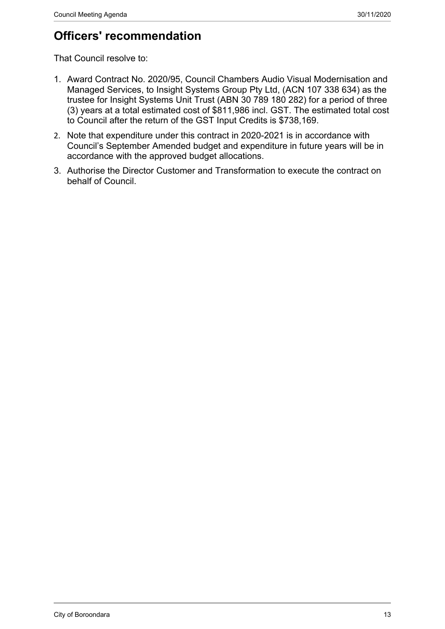# **Officers' recommendation**

That Council resolve to:

- 1. Award Contract No. 2020/95, Council Chambers Audio Visual Modernisation and Managed Services, to Insight Systems Group Pty Ltd, (ACN 107 338 634) as the trustee for Insight Systems Unit Trust (ABN 30 789 180 282) for a period of three (3) years at a total estimated cost of \$811,986 incl. GST. The estimated total cost to Council after the return of the GST Input Credits is \$738,169.
- 2. Note that expenditure under this contract in 2020-2021 is in accordance with Council's September Amended budget and expenditure in future years will be in accordance with the approved budget allocations.
- 3. Authorise the Director Customer and Transformation to execute the contract on behalf of Council.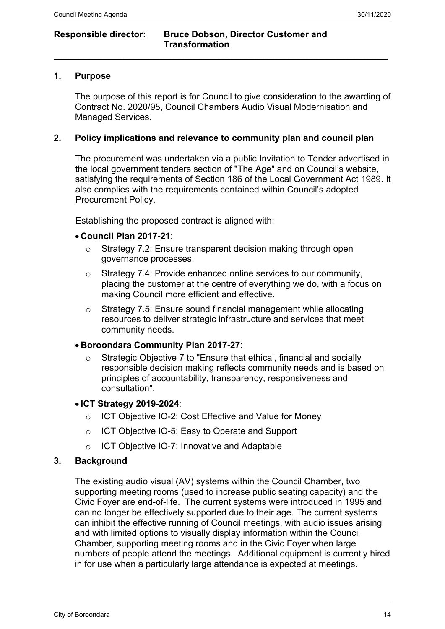#### **Responsible director: Bruce Dobson, Director Customer and Transformation**

## **1. Purpose**

The purpose of this report is for Council to give consideration to the awarding of Contract No. 2020/95, Council Chambers Audio Visual Modernisation and Managed Services.

## **2. Policy implications and relevance to community plan and council plan**

 $\mathcal{L}_\mathcal{L} = \mathcal{L}_\mathcal{L} = \mathcal{L}_\mathcal{L} = \mathcal{L}_\mathcal{L} = \mathcal{L}_\mathcal{L} = \mathcal{L}_\mathcal{L} = \mathcal{L}_\mathcal{L} = \mathcal{L}_\mathcal{L} = \mathcal{L}_\mathcal{L} = \mathcal{L}_\mathcal{L} = \mathcal{L}_\mathcal{L} = \mathcal{L}_\mathcal{L} = \mathcal{L}_\mathcal{L} = \mathcal{L}_\mathcal{L} = \mathcal{L}_\mathcal{L} = \mathcal{L}_\mathcal{L} = \mathcal{L}_\mathcal{L}$ 

The procurement was undertaken via a public Invitation to Tender advertised in the local government tenders section of "The Age" and on Council's website, satisfying the requirements of Section 186 of the Local Government Act 1989. It also complies with the requirements contained within Council's adopted Procurement Policy.

Establishing the proposed contract is aligned with:

#### **Council Plan 2017-21**:

- o Strategy 7.2: Ensure transparent decision making through open governance processes.
- o Strategy 7.4: Provide enhanced online services to our community, placing the customer at the centre of everything we do, with a focus on making Council more efficient and effective.
- o Strategy 7.5: Ensure sound financial management while allocating resources to deliver strategic infrastructure and services that meet community needs.

#### **Boroondara Community Plan 2017-27**:

o Strategic Objective 7 to "Ensure that ethical, financial and socially responsible decision making reflects community needs and is based on principles of accountability, transparency, responsiveness and consultation".

#### **ICT Strategy 2019-2024**:

- o ICT Objective IO-2: Cost Effective and Value for Money
- o ICT Objective IO-5: Easy to Operate and Support
- o ICT Objective IO-7: Innovative and Adaptable

#### **3. Background**

The existing audio visual (AV) systems within the Council Chamber, two supporting meeting rooms (used to increase public seating capacity) and the Civic Foyer are end-of-life. The current systems were introduced in 1995 and can no longer be effectively supported due to their age. The current systems can inhibit the effective running of Council meetings, with audio issues arising and with limited options to visually display information within the Council Chamber, supporting meeting rooms and in the Civic Foyer when large numbers of people attend the meetings. Additional equipment is currently hired in for use when a particularly large attendance is expected at meetings.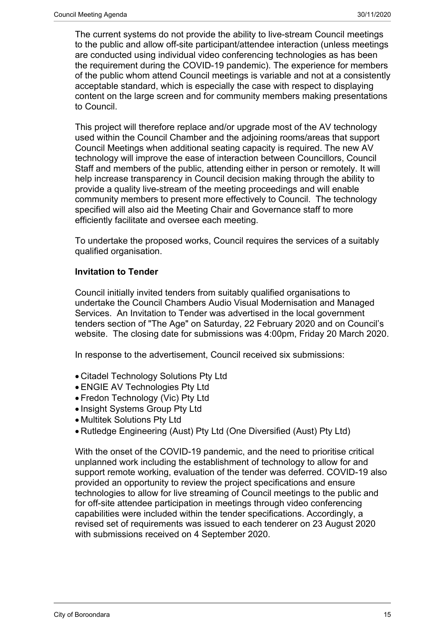The current systems do not provide the ability to live-stream Council meetings to the public and allow off-site participant/attendee interaction (unless meetings are conducted using individual video conferencing technologies as has been the requirement during the COVID-19 pandemic). The experience for members of the public whom attend Council meetings is variable and not at a consistently acceptable standard, which is especially the case with respect to displaying content on the large screen and for community members making presentations to Council.

This project will therefore replace and/or upgrade most of the AV technology used within the Council Chamber and the adjoining rooms/areas that support Council Meetings when additional seating capacity is required. The new AV technology will improve the ease of interaction between Councillors, Council Staff and members of the public, attending either in person or remotely. It will help increase transparency in Council decision making through the ability to provide a quality live-stream of the meeting proceedings and will enable community members to present more effectively to Council. The technology specified will also aid the Meeting Chair and Governance staff to more efficiently facilitate and oversee each meeting.

To undertake the proposed works, Council requires the services of a suitably qualified organisation.

# **Invitation to Tender**

Council initially invited tenders from suitably qualified organisations to undertake the Council Chambers Audio Visual Modernisation and Managed Services. An Invitation to Tender was advertised in the local government tenders section of "The Age" on Saturday, 22 February 2020 and on Council's website. The closing date for submissions was 4:00pm, Friday 20 March 2020.

In response to the advertisement, Council received six submissions:

- Citadel Technology Solutions Pty Ltd
- ENGIE AV Technologies Pty Ltd
- Fredon Technology (Vic) Pty Ltd
- Insight Systems Group Pty Ltd
- Multitek Solutions Pty Ltd
- Rutledge Engineering (Aust) Pty Ltd (One Diversified (Aust) Pty Ltd)

With the onset of the COVID-19 pandemic, and the need to prioritise critical unplanned work including the establishment of technology to allow for and support remote working, evaluation of the tender was deferred. COVID-19 also provided an opportunity to review the project specifications and ensure technologies to allow for live streaming of Council meetings to the public and for off-site attendee participation in meetings through video conferencing capabilities were included within the tender specifications. Accordingly, a revised set of requirements was issued to each tenderer on 23 August 2020 with submissions received on 4 September 2020.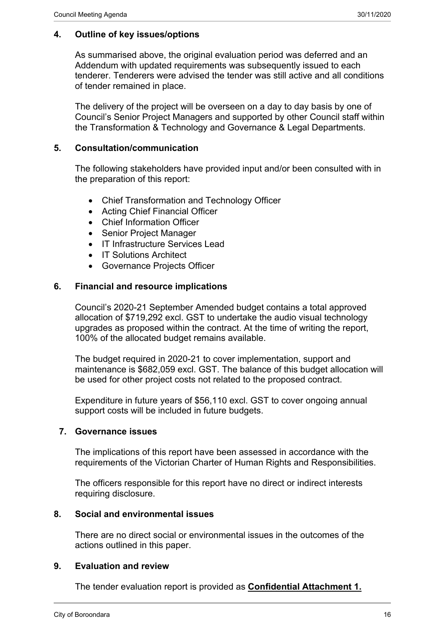# **4. Outline of key issues/options**

As summarised above, the original evaluation period was deferred and an Addendum with updated requirements was subsequently issued to each tenderer. Tenderers were advised the tender was still active and all conditions of tender remained in place.

The delivery of the project will be overseen on a day to day basis by one of Council's Senior Project Managers and supported by other Council staff within the Transformation & Technology and Governance & Legal Departments.

## **5. Consultation/communication**

The following stakeholders have provided input and/or been consulted with in the preparation of this report:

- Chief Transformation and Technology Officer
- Acting Chief Financial Officer
- Chief Information Officer
- Senior Project Manager
- IT Infrastructure Services Lead
- IT Solutions Architect
- Governance Projects Officer

## **6. Financial and resource implications**

Council's 2020-21 September Amended budget contains a total approved allocation of \$719,292 excl. GST to undertake the audio visual technology upgrades as proposed within the contract. At the time of writing the report, 100% of the allocated budget remains available.

The budget required in 2020-21 to cover implementation, support and maintenance is \$682,059 excl. GST. The balance of this budget allocation will be used for other project costs not related to the proposed contract.

Expenditure in future years of \$56,110 excl. GST to cover ongoing annual support costs will be included in future budgets.

#### **7. Governance issues**

The implications of this report have been assessed in accordance with the requirements of the Victorian Charter of Human Rights and Responsibilities.

The officers responsible for this report have no direct or indirect interests requiring disclosure.

#### **8. Social and environmental issues**

There are no direct social or environmental issues in the outcomes of the actions outlined in this paper.

#### **9. Evaluation and review**

The tender evaluation report is provided as **Confidential Attachment 1.**